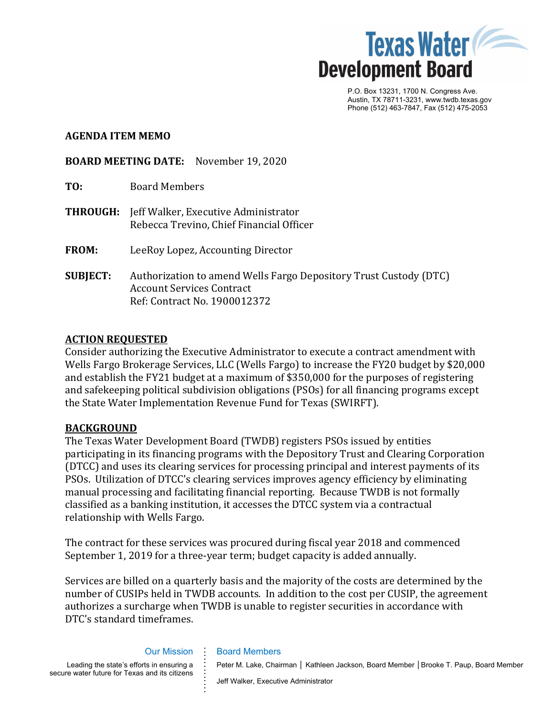

P.O. Box 13231, 1700 N. Congress Ave. Austin, TX 78711-3231, www.twdb.texas.gov Phone (512) 463-7847, Fax (512) 475-2053

## **AGENDA ITEM MEMO**

**BOARD MEETING DATE:** November 19, 2020

| TO:             | <b>Board Members</b>                                                                                                                  |
|-----------------|---------------------------------------------------------------------------------------------------------------------------------------|
| <b>THROUGH:</b> | Jeff Walker, Executive Administrator<br>Rebecca Trevino, Chief Financial Officer                                                      |
| <b>FROM:</b>    | LeeRoy Lopez, Accounting Director                                                                                                     |
| <b>SUBJECT:</b> | Authorization to amend Wells Fargo Depository Trust Custody (DTC)<br><b>Account Services Contract</b><br>Ref: Contract No. 1900012372 |

## **ACTION REQUESTED**

Consider authorizing the Executive Administrator to execute a contract amendment with Wells Fargo Brokerage Services, LLC (Wells Fargo) to increase the FY20 budget by \$20,000 and establish the FY21 budget at a maximum of \$350,000 for the purposes of registering and safekeeping political subdivision obligations (PSOs) for all financing programs except the State Water Implementation Revenue Fund for Texas (SWIRFT).

## **BACKGROUND**

The Texas Water Development Board (TWDB) registers PSOs issued by entities participating in its financing programs with the Depository Trust and Clearing Corporation (DTCC) and uses its clearing services for processing principal and interest payments of its PSOs. Utilization of DTCC's clearing services improves agency efficiency by eliminating manual processing and facilitating financial reporting. Because TWDB is not formally classified as a banking institution, it accesses the DTCC system via a contractual relationship with Wells Fargo.

The contract for these services was procured during fiscal year 2018 and commenced September 1, 2019 for a three-year term; budget capacity is added annually.

Services are billed on a quarterly basis and the majority of the costs are determined by the number of CUSIPs held in TWDB accounts. In addition to the cost per CUSIP, the agreement authorizes a surcharge when TWDB is unable to register securities in accordance with DTC's standard timeframes.

# Our Mission **. . .**

**. . . . . . . . . .**

Leading the state's efforts in ensuring a secure water future for Texas and its citizens

Board Members

Jeff Walker, Executive Administrator

Peter M. Lake, Chairman │ Kathleen Jackson, Board Member │ Brooke T. Paup, Board Member